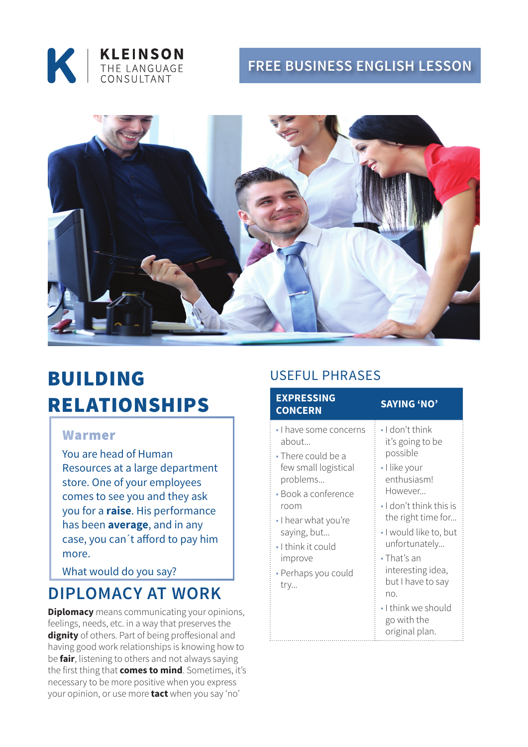

### **Free BUSINESS ENGLISH lesson**



# bUILDING RELATIONSHIPS

#### Warmer

You are head of Human Resources at a large department store. One of your employees comes to see you and they ask you for a **raise**. His performance has been **average**, and in any case, you can´t afford to pay him more.

What would do you say?

## **DIPLOMACY AT WORK**

**Diplomacy** means communicating your opinions, feelings, needs, etc. in a way that preserves the **dignity** of others. Part of being proffesional and having good work relationships is knowing how to be **fair**, listening to others and not always saying the first thing that **comes to mind**. Sometimes, it's necessary to be more positive when you express your opinion, or use more **tact** when you say 'no'

### Useful phrases

| <b>EXPRESSING</b><br><b>CONCERN</b>                                                                                                                                                                                          | <b>SAYING 'NO'</b>                                                                                                                                                                                                                                                                                                                |
|------------------------------------------------------------------------------------------------------------------------------------------------------------------------------------------------------------------------------|-----------------------------------------------------------------------------------------------------------------------------------------------------------------------------------------------------------------------------------------------------------------------------------------------------------------------------------|
| - I have some concerns<br>about<br>• There could be a<br>few small logistical<br>problems<br>- Book a conference<br>room<br>I hear what you're<br>saying, but<br>• I think it could<br>improve<br>- Perhaps you could<br>try | $\cdot$ I don't think<br>it's going to be<br>possible<br>- I like your<br>enthusiasm!<br>However<br>$\blacksquare$ I don't think this is<br>the right time for<br>- I would like to, but<br>unfortunately<br>• That's an<br>interesting idea,<br>but I have to say<br>no.<br>- I think we should<br>go with the<br>original plan. |